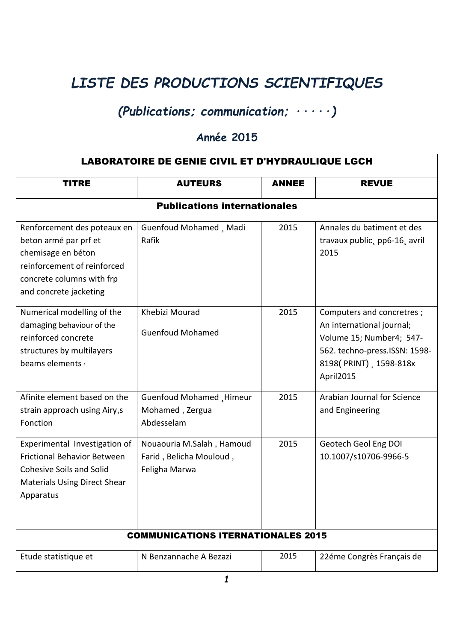## *LISTE DES PRODUCTIONS SCIENTIFIQUES*

## *(Publications; communication; ∙∙∙∙∙)*

## **Année 2015**

| <b>LABORATOIRE DE GENIE CIVIL ET D'HYDRAULIQUE LGCH</b>                                                                                                          |                                                                       |              |                                                                                                                                                            |  |  |  |
|------------------------------------------------------------------------------------------------------------------------------------------------------------------|-----------------------------------------------------------------------|--------------|------------------------------------------------------------------------------------------------------------------------------------------------------------|--|--|--|
| <b>TITRE</b>                                                                                                                                                     | <b>AUTEURS</b>                                                        | <b>ANNEE</b> | <b>REVUE</b>                                                                                                                                               |  |  |  |
| <b>Publications internationales</b>                                                                                                                              |                                                                       |              |                                                                                                                                                            |  |  |  |
| Renforcement des poteaux en<br>beton armé par prf et<br>chemisage en béton<br>reinforcement of reinforced<br>concrete columns with frp<br>and concrete jacketing | Guenfoud Mohamed, Madi<br>Rafik                                       | 2015         | Annales du batiment et des<br>travaux public, pp6-16, avril<br>2015                                                                                        |  |  |  |
| Numerical modelling of the<br>damaging behaviour of the<br>reinforced concrete<br>structures by multilayers<br>beams elements ·                                  | Khebizi Mourad<br><b>Guenfoud Mohamed</b>                             | 2015         | Computers and concretres;<br>An international journal;<br>Volume 15; Number4; 547-<br>562. techno-press.ISSN: 1598-<br>8198(PRINT), 1598-818x<br>April2015 |  |  |  |
| Afinite element based on the<br>strain approach using Airy,s<br>Fonction                                                                                         | Guenfoud Mohamed Himeur<br>Mohamed, Zergua<br>Abdesselam              | 2015         | Arabian Journal for Science<br>and Engineering                                                                                                             |  |  |  |
| Experimental Investigation of<br><b>Frictional Behavior Between</b><br><b>Cohesive Soils and Solid</b><br><b>Materials Using Direct Shear</b><br>Apparatus       | Nouaouria M.Salah, Hamoud<br>Farid, Belicha Mouloud,<br>Feligha Marwa | 2015         | Geotech Geol Eng DOI<br>10.1007/s10706-9966-5                                                                                                              |  |  |  |
| <b>COMMUNICATIONS ITERNATIONALES 2015</b>                                                                                                                        |                                                                       |              |                                                                                                                                                            |  |  |  |
| Etude statistique et                                                                                                                                             | N Benzannache A Bezazi                                                | 2015         | 22éme Congrès Français de                                                                                                                                  |  |  |  |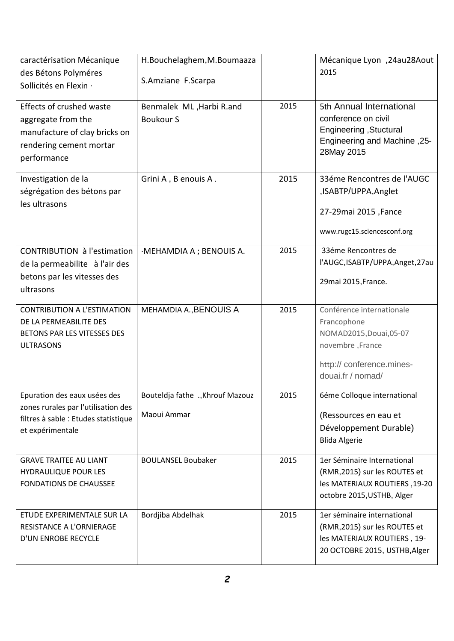| caractérisation Mécanique<br>des Bétons Polyméres<br>Sollicités en Flexin ·                                                     | H.Bouchelaghem, M.Boumaaza<br>S.Amziane F.Scarpa |      | Mécanique Lyon, 24au28Aout<br>2015                                                                                                        |
|---------------------------------------------------------------------------------------------------------------------------------|--------------------------------------------------|------|-------------------------------------------------------------------------------------------------------------------------------------------|
| Effects of crushed waste<br>aggregate from the<br>manufacture of clay bricks on<br>rendering cement mortar<br>performance       | Benmalek ML, Harbi R.and<br><b>Boukour S</b>     | 2015 | 5th Annual International<br>conference on civil<br>Engineering, Stuctural<br><b>Engineering and Machine, 25-</b><br>28May 2015            |
| Investigation de la<br>ségrégation des bétons par<br>les ultrasons                                                              | Grini A, B enouis A.                             | 2015 | 33éme Rencontres de l'AUGC<br>,ISABTP/UPPA,Anglet<br>27-29mai 2015, Fance<br>www.rugc15.sciencesconf.org                                  |
| <b>CONTRIBUTION à l'estimation</b><br>de la permeabilite à l'air des<br>betons par les vitesses des<br>ultrasons                | ·MEHAMDIA A ; BENOUIS A.                         | 2015 | 33éme Rencontres de<br>l'AUGC, ISABTP/UPPA, Anget, 27au<br>29mai 2015, France.                                                            |
| <b>CONTRIBUTION A L'ESTIMATION</b><br>DE LA PERMEABILITE DES<br>BETONS PAR LES VITESSES DES<br><b>ULTRASONS</b>                 | MEHAMDIA A., BENOUIS A                           | 2015 | Conférence internationale<br>Francophone<br>NOMAD2015, Douai, 05-07<br>novembre, France<br>http:// conference.mines-<br>douai.fr / nomad/ |
| Epuration des eaux usées des<br>zones rurales par l'utilisation des<br>filtres à sable : Etudes statistique<br>et expérimentale | Bouteldja fathe Khrouf Mazouz<br>Maoui Ammar     | 2015 | 6éme Colloque international<br>(Ressources en eau et<br>Développement Durable)<br><b>Blida Algerie</b>                                    |
| <b>GRAVE TRAITEE AU LIANT</b><br><b>HYDRAULIQUE POUR LES</b><br><b>FONDATIONS DE CHAUSSEE</b>                                   | <b>BOULANSEL Boubaker</b>                        | 2015 | 1er Séminaire International<br>(RMR, 2015) sur les ROUTES et<br>Ies MATERIAUX ROUTIERS, 19-20<br>octobre 2015, USTHB, Alger               |
| ETUDE EXPERIMENTALE SUR LA<br>RESISTANCE A L'ORNIERAGE<br>D'UN ENROBE RECYCLE                                                   | Bordjiba Abdelhak                                | 2015 | 1er séminaire international<br>(RMR, 2015) sur les ROUTES et<br>les MATERIAUX ROUTIERS, 19-<br>20 OCTOBRE 2015, USTHB, Alger              |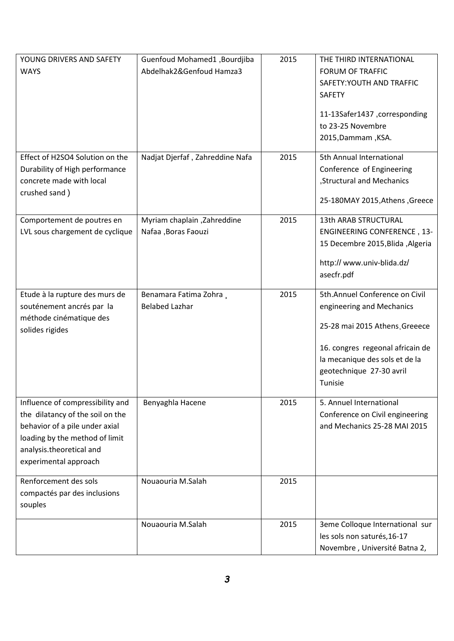| YOUNG DRIVERS AND SAFETY<br><b>WAYS</b>                                                                                                                                                       | Guenfoud Mohamed1, Bourdjiba<br>Abdelhak2&Genfoud Hamza3 | 2015 | THE THIRD INTERNATIONAL<br><b>FORUM OF TRAFFIC</b><br>SAFETY: YOUTH AND TRAFFIC<br><b>SAFETY</b><br>11-13Safer1437, corresponding<br>to 23-25 Novembre<br>2015, Dammam, KSA.                               |
|-----------------------------------------------------------------------------------------------------------------------------------------------------------------------------------------------|----------------------------------------------------------|------|------------------------------------------------------------------------------------------------------------------------------------------------------------------------------------------------------------|
| Effect of H2SO4 Solution on the<br>Durability of High performance<br>concrete made with local<br>crushed sand)                                                                                | Nadjat Djerfaf, Zahreddine Nafa                          | 2015 | 5th Annual International<br>Conference of Engineering<br>, Structural and Mechanics<br>25-180MAY 2015, Athens, Greece                                                                                      |
| Comportement de poutres en<br>LVL sous chargement de cyclique                                                                                                                                 | Myriam chaplain, Zahreddine<br>Nafaa , Boras Faouzi      | 2015 | <b>13th ARAB STRUCTURAL</b><br><b>ENGINEERING CONFERENCE, 13-</b><br>15 Decembre 2015, Blida, Algeria<br>http://www.univ-blida.dz/<br>asecfr.pdf                                                           |
| Etude à la rupture des murs de<br>souténement ancrés par la<br>méthode cinématique des<br>solides rigides                                                                                     | Benamara Fatima Zohra,<br><b>Belabed Lazhar</b>          | 2015 | 5th.Annuel Conference on Civil<br>engineering and Mechanics<br>25-28 mai 2015 Athens, Greeece<br>16. congres regeonal africain de<br>la mecanique des sols et de la<br>geotechnique 27-30 avril<br>Tunisie |
| Influence of compressibility and<br>the dilatancy of the soil on the<br>behavior of a pile under axial<br>loading by the method of limit<br>analysis.theoretical and<br>experimental approach | Benyaghla Hacene                                         | 2015 | 5. Annuel International<br>Conference on Civil engineering<br>and Mechanics 25-28 MAI 2015                                                                                                                 |
| Renforcement des sols<br>compactés par des inclusions<br>souples                                                                                                                              | Nouaouria M.Salah                                        | 2015 |                                                                                                                                                                                                            |
|                                                                                                                                                                                               | Nouaouria M.Salah                                        | 2015 | 3eme Colloque International sur<br>les sols non saturés, 16-17<br>Novembre, Université Batna 2,                                                                                                            |